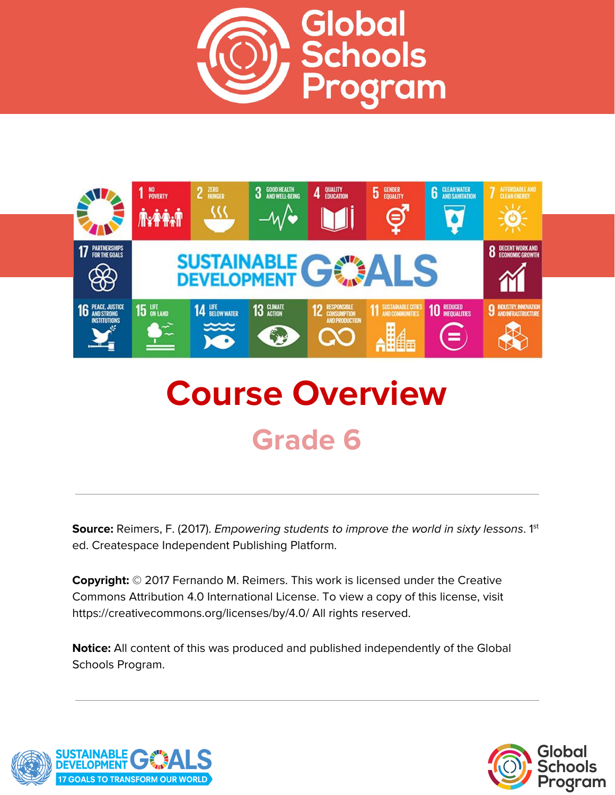



# **Course Overview Grade 6**

**Source:** Reimers, F. (2017). *Empowering students to improve the world in sixty lessons.* 1<sup>st</sup> ed. Createspace Independent Publishing Platform.

**Copyright:** © 2017 Fernando M. Reimers. This work is licensed under the Creative Commons Attribution 4.0 International License. To view a copy of this license, visit https://creativecommons.org/licenses/by/4.0/ All rights reserved.

**Notice:** All content of this was produced and published independently of the Global Schools Program.



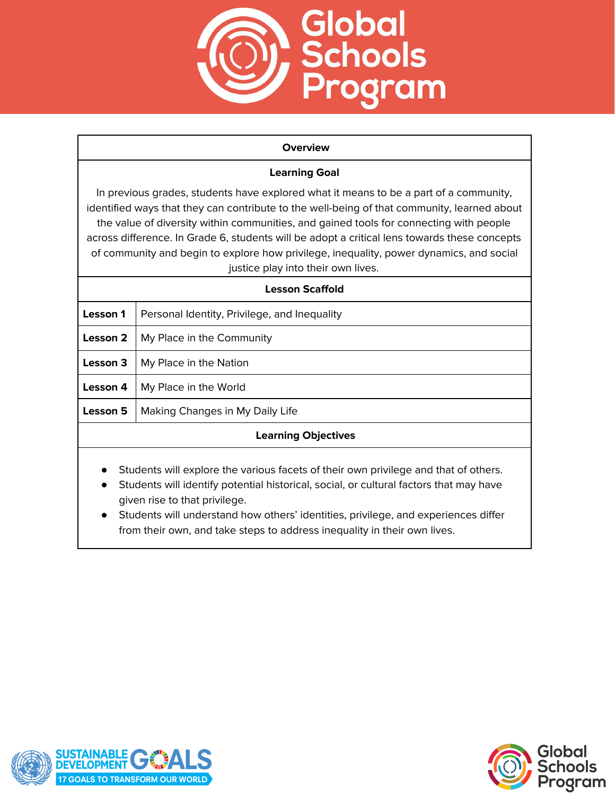

#### **Overview**

## **Learning Goal**

In previous grades, students have explored what it means to be a part of a community, identified ways that they can contribute to the well-being of that community, learned about the value of diversity within communities, and gained tools for connecting with people across difference. In Grade 6, students will be adopt a critical lens towards these concepts of community and begin to explore how privilege, inequality, power dynamics, and social justice play into their own lives.

| Lesson Scaffold            |                                              |
|----------------------------|----------------------------------------------|
| Lesson 1                   | Personal Identity, Privilege, and Inequality |
| Lesson 2                   | My Place in the Community                    |
| Lesson 3                   | My Place in the Nation                       |
| Lesson 4                   | My Place in the World                        |
| Lesson 5                   | Making Changes in My Daily Life              |
| <b>Learning Objectives</b> |                                              |
|                            |                                              |

- Students will explore the various facets of their own privilege and that of others.
- Students will identify potential historical, social, or cultural factors that may have given rise to that privilege.
- Students will understand how others' identities, privilege, and experiences differ from their own, and take steps to address inequality in their own lives.



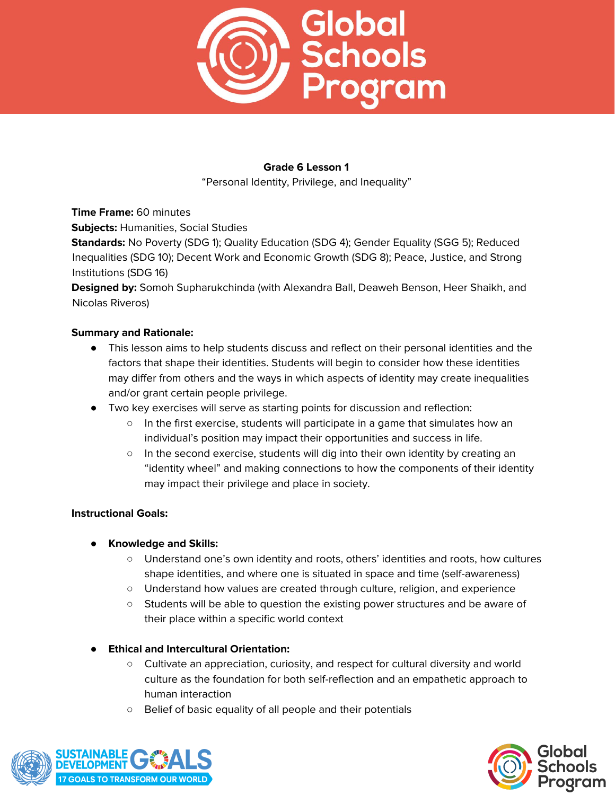

"Personal Identity, Privilege, and Inequality"

**Time Frame:** 60 minutes

**Subjects:** Humanities, Social Studies

**Standards:** No Poverty (SDG 1); Quality Education (SDG 4); Gender Equality (SGG 5); Reduced Inequalities (SDG 10); Decent Work and Economic Growth (SDG 8); Peace, Justice, and Strong Institutions (SDG 16)

**Designed by:** Somoh Supharukchinda (with Alexandra Ball, Deaweh Benson, Heer Shaikh, and Nicolas Riveros)

#### **Summary and Rationale:**

- This lesson aims to help students discuss and reflect on their personal identities and the factors that shape their identities. Students will begin to consider how these identities may differ from others and the ways in which aspects of identity may create inequalities and/or grant certain people privilege.
- Two key exercises will serve as starting points for discussion and reflection:
	- In the first exercise, students will participate in a game that simulates how an individual's position may impact their opportunities and success in life.
	- $\circ$  In the second exercise, students will dig into their own identity by creating an "identity wheel" and making connections to how the components of their identity may impact their privilege and place in society.

#### **Instructional Goals:**

#### **● Knowledge and Skills:**

- Understand one's own identity and roots, others' identities and roots, how cultures shape identities, and where one is situated in space and time (self-awareness)
- Understand how values are created through culture, religion, and experience
- Students will be able to question the existing power structures and be aware of their place within a specific world context

#### **● Ethical and Intercultural Orientation:**

- Cultivate an appreciation, curiosity, and respect for cultural diversity and world culture as the foundation for both self-reflection and an empathetic approach to human interaction
- Belief of basic equality of all people and their potentials



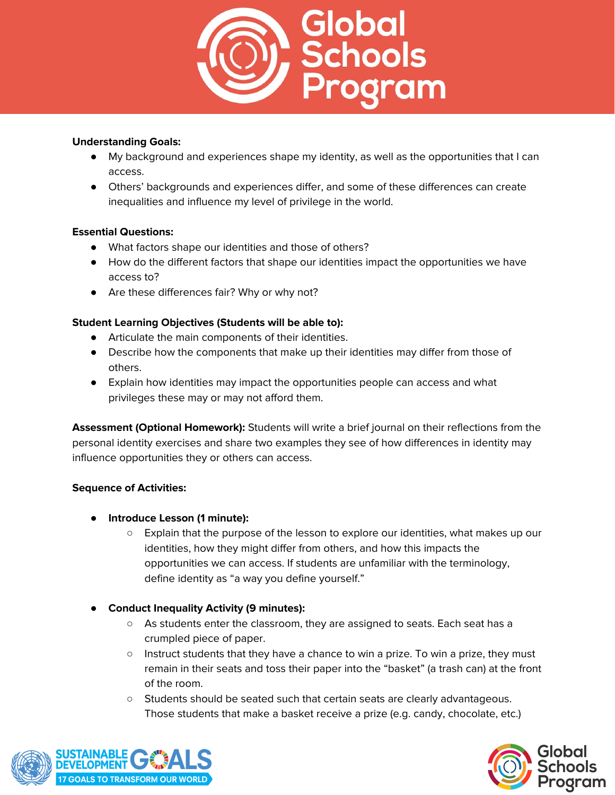

## **Understanding Goals:**

- My background and experiences shape my identity, as well as the opportunities that I can access.
- Others' backgrounds and experiences differ, and some of these differences can create inequalities and influence my level of privilege in the world.

#### **Essential Questions:**

- What factors shape our identities and those of others?
- How do the different factors that shape our identities impact the opportunities we have access to?
- Are these differences fair? Why or why not?

# **Student Learning Objectives (Students will be able to):**

- Articulate the main components of their identities.
- Describe how the components that make up their identities may differ from those of others.
- Explain how identities may impact the opportunities people can access and what privileges these may or may not afford them.

**Assessment (Optional Homework):** Students will write a brief journal on their reflections from the personal identity exercises and share two examples they see of how differences in identity may influence opportunities they or others can access.

#### **Sequence of Activities:**

- **Introduce Lesson (1 minute):**
	- Explain that the purpose of the lesson to explore our identities, what makes up our identities, how they might differ from others, and how this impacts the opportunities we can access. If students are unfamiliar with the terminology, define identity as "a way you define yourself."
- **Conduct Inequality Activity (9 minutes):**
	- As students enter the classroom, they are assigned to seats. Each seat has a crumpled piece of paper.
	- Instruct students that they have a chance to win a prize. To win a prize, they must remain in their seats and toss their paper into the "basket" (a trash can) at the front of the room.
	- Students should be seated such that certain seats are clearly advantageous. Those students that make a basket receive a prize (e.g. candy, chocolate, etc.)



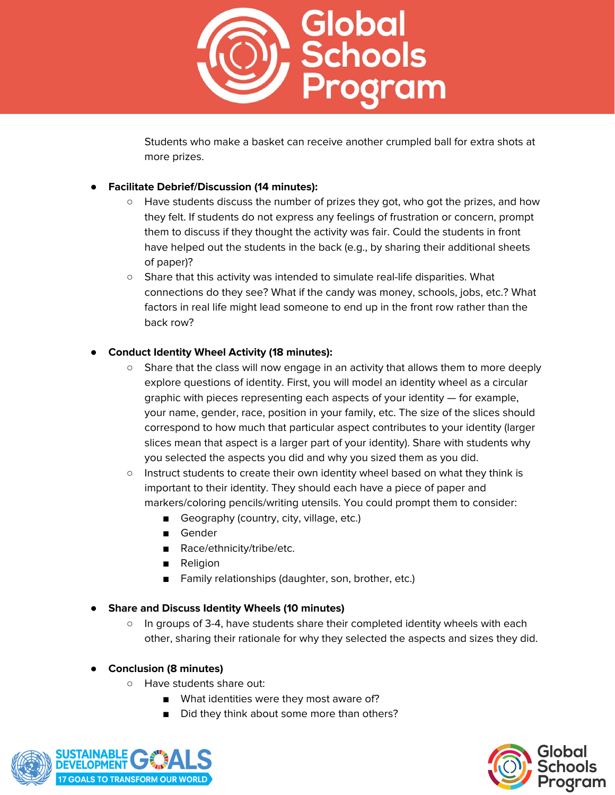

Students who make a basket can receive another crumpled ball for extra shots at more prizes.

# ● **Facilitate Debrief/Discussion (14 minutes):**

- Have students discuss the number of prizes they got, who got the prizes, and how they felt. If students do not express any feelings of frustration or concern, prompt them to discuss if they thought the activity was fair. Could the students in front have helped out the students in the back (e.g., by sharing their additional sheets of paper)?
- Share that this activity was intended to simulate real-life disparities. What connections do they see? What if the candy was money, schools, jobs, etc.? What factors in real life might lead someone to end up in the front row rather than the back row?

## ● **Conduct Identity Wheel Activity (18 minutes):**

- Share that the class will now engage in an activity that allows them to more deeply explore questions of identity. First, you will model an identity wheel as a circular graphic with pieces representing each aspects of your identity — for example, your name, gender, race, position in your family, etc. The size of the slices should correspond to how much that particular aspect contributes to your identity (larger slices mean that aspect is a larger part of your identity). Share with students why you selected the aspects you did and why you sized them as you did.
- Instruct students to create their own identity wheel based on what they think is important to their identity. They should each have a piece of paper and markers/coloring pencils/writing utensils. You could prompt them to consider:
	- Geography (country, city, village, etc.)
	- Gender
	- Race/ethnicity/tribe/etc.
	- **Religion**
	- Family relationships (daughter, son, brother, etc.)
- **Share and Discuss Identity Wheels (10 minutes)**
	- In groups of 3-4, have students share their completed identity wheels with each other, sharing their rationale for why they selected the aspects and sizes they did.

# ● **Conclusion (8 minutes)**

- Have students share out:
	- What identities were they most aware of?
	- Did they think about some more than others?



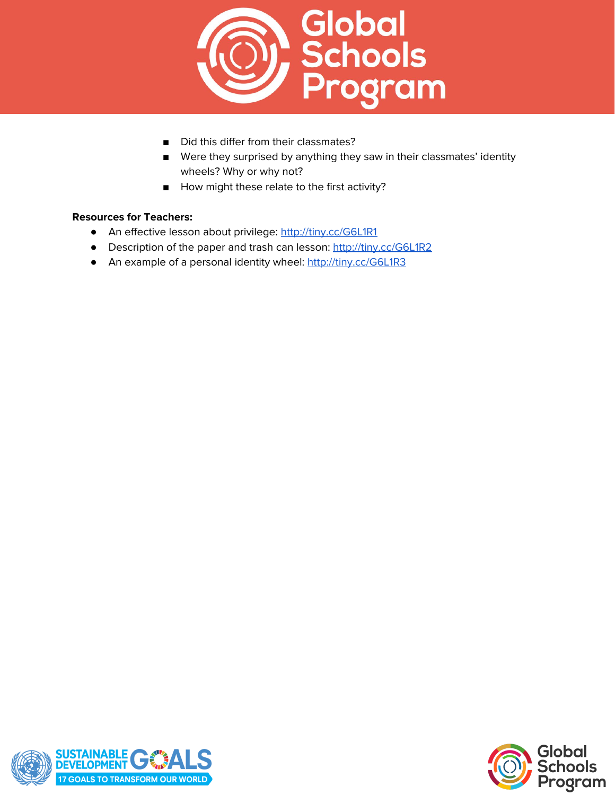

- Did this differ from their classmates?
- Were they surprised by anything they saw in their classmates' identity wheels? Why or why not?
- How might these relate to the first activity?

#### **Resources for Teachers:**

- **●** An effective lesson about privilege: <http://tiny.cc/G6L1R1>
- **•** Description of the paper and trash can lesson: <http://tiny.cc/G6L1R2>
- **•** An example of a personal identity wheel: <http://tiny.cc/G6L1R3>



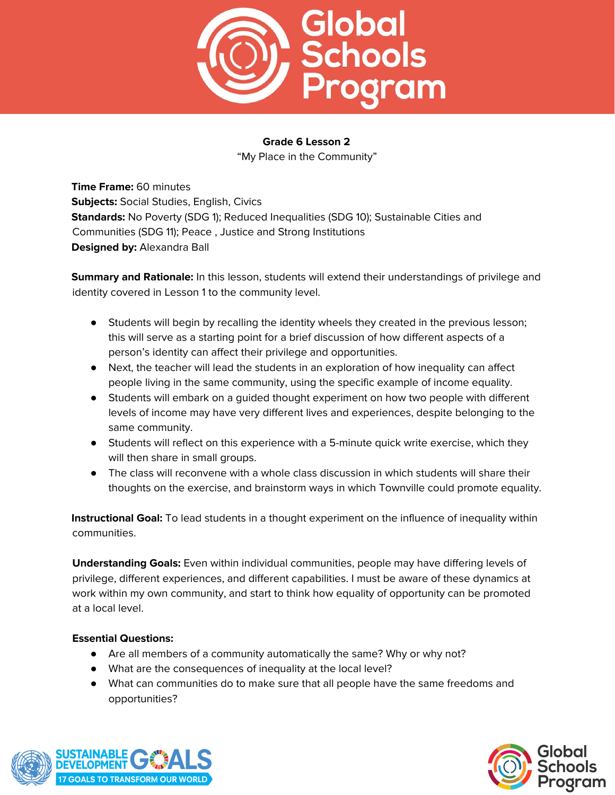

"My Place in the Community"

**Time Frame:** 60 minutes **Subjects:** Social Studies, English, Civics **Standards:** No Poverty (SDG 1); Reduced Inequalities (SDG 10); Sustainable Cities and Communities (SDG 11); Peace , Justice and Strong Institutions **Designed by:** Alexandra Ball

**Summary and Rationale:** In this lesson, students will extend their understandings of privilege and identity covered in Lesson 1 to the community level.

- Students will begin by recalling the identity wheels they created in the previous lesson; this will serve as a starting point for a brief discussion of how different aspects of a person's identity can affect their privilege and opportunities.
- Next, the teacher will lead the students in an exploration of how inequality can affect people living in the same community, using the specific example of income equality.
- Students will embark on a guided thought experiment on how two people with different levels of income may have very different lives and experiences, despite belonging to the same community.
- Students will reflect on this experience with a 5-minute quick write exercise, which they will then share in small groups.
- The class will reconvene with a whole class discussion in which students will share their thoughts on the exercise, and brainstorm ways in which Townville could promote equality.

**Instructional Goal:** To lead students in a thought experiment on the influence of inequality within communities.

**Understanding Goals:** Even within individual communities, people may have differing levels of privilege, different experiences, and different capabilities. I must be aware of these dynamics at work within my own community, and start to think how equality of opportunity can be promoted at a local level.

# **Essential Questions:**

- Are all members of a community automatically the same? Why or why not?
- What are the consequences of inequality at the local level?
- What can communities do to make sure that all people have the same freedoms and opportunities?



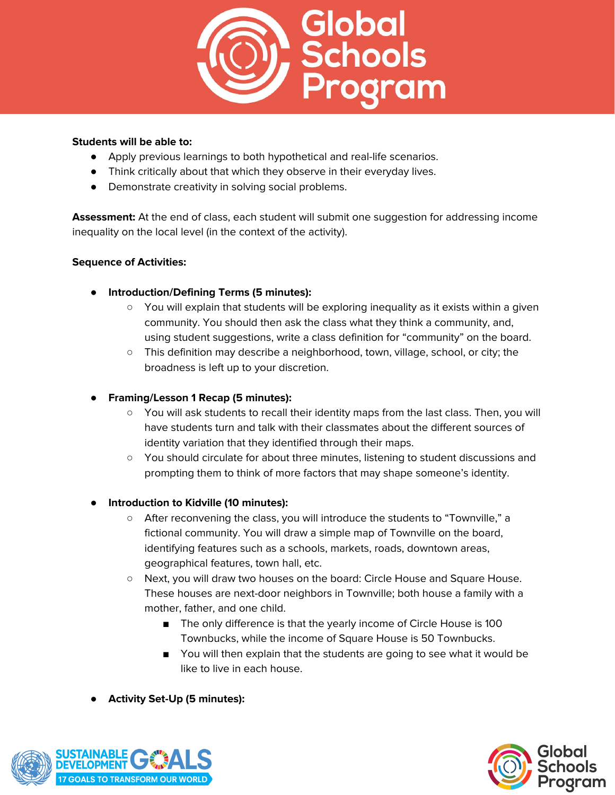

#### **Students will be able to:**

- Apply previous learnings to both hypothetical and real-life scenarios.
- Think critically about that which they observe in their everyday lives.
- Demonstrate creativity in solving social problems.

**Assessment:** At the end of class, each student will submit one suggestion for addressing income inequality on the local level (in the context of the activity).

## **Sequence of Activities:**

- **● Introduction/Defining Terms (5 minutes):**
	- You will explain that students will be exploring inequality as it exists within a given community. You should then ask the class what they think a community, and, using student suggestions, write a class definition for "community" on the board.
	- This definition may describe a neighborhood, town, village, school, or city; the broadness is left up to your discretion.
- **● Framing/Lesson 1 Recap (5 minutes):**
	- You will ask students to recall their identity maps from the last class. Then, you will have students turn and talk with their classmates about the different sources of identity variation that they identified through their maps.
	- You should circulate for about three minutes, listening to student discussions and prompting them to think of more factors that may shape someone's identity.

# **● Introduction to Kidville (10 minutes):**

- After reconvening the class, you will introduce the students to "Townville," a fictional community. You will draw a simple map of Townville on the board, identifying features such as a schools, markets, roads, downtown areas, geographical features, town hall, etc.
- Next, you will draw two houses on the board: Circle House and Square House. These houses are next-door neighbors in Townville; both house a family with a mother, father, and one child.
	- The only difference is that the yearly income of Circle House is 100 Townbucks, while the income of Square House is 50 Townbucks.
	- You will then explain that the students are going to see what it would be like to live in each house.
- **● Activity Set-Up (5 minutes):**



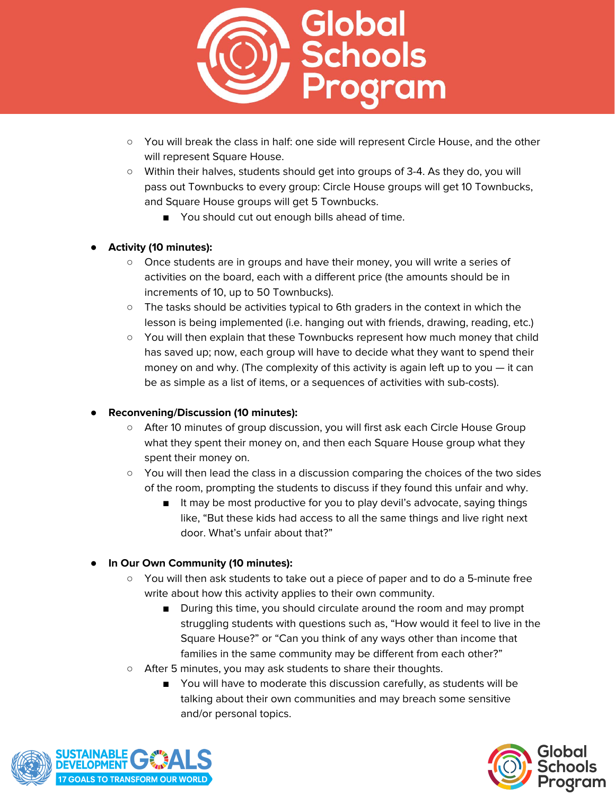

- You will break the class in half: one side will represent Circle House, and the other will represent Square House.
- Within their halves, students should get into groups of 3-4. As they do, you will pass out Townbucks to every group: Circle House groups will get 10 Townbucks, and Square House groups will get 5 Townbucks.
	- You should cut out enough bills ahead of time.

## **● Activity (10 minutes):**

- Once students are in groups and have their money, you will write a series of activities on the board, each with a different price (the amounts should be in increments of 10, up to 50 Townbucks).
- The tasks should be activities typical to 6th graders in the context in which the lesson is being implemented (i.e. hanging out with friends, drawing, reading, etc.)
- You will then explain that these Townbucks represent how much money that child has saved up; now, each group will have to decide what they want to spend their money on and why. (The complexity of this activity is again left up to you — it can be as simple as a list of items, or a sequences of activities with sub-costs).

#### **● Reconvening/Discussion (10 minutes):**

- After 10 minutes of group discussion, you will first ask each Circle House Group what they spent their money on, and then each Square House group what they spent their money on.
- You will then lead the class in a discussion comparing the choices of the two sides of the room, prompting the students to discuss if they found this unfair and why.
	- It may be most productive for you to play devil's advocate, saying things like, "But these kids had access to all the same things and live right next door. What's unfair about that?"

# **● In Our Own Community (10 minutes):**

- You will then ask students to take out a piece of paper and to do a 5-minute free write about how this activity applies to their own community.
	- During this time, you should circulate around the room and may prompt struggling students with questions such as, "How would it feel to live in the Square House?" or "Can you think of any ways other than income that families in the same community may be different from each other?"
- After 5 minutes, you may ask students to share their thoughts.
	- You will have to moderate this discussion carefully, as students will be talking about their own communities and may breach some sensitive and/or personal topics.



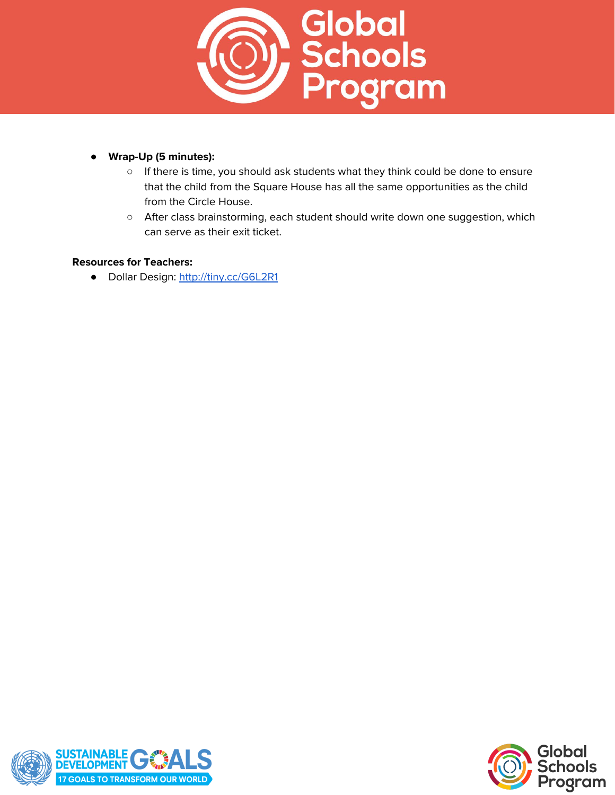

# **● Wrap-Up (5 minutes):**

- If there is time, you should ask students what they think could be done to ensure that the child from the Square House has all the same opportunities as the child from the Circle House.
- After class brainstorming, each student should write down one suggestion, which can serve as their exit ticket.

#### **Resources for Teachers:**

● Dollar Design: <http://tiny.cc/G6L2R1>



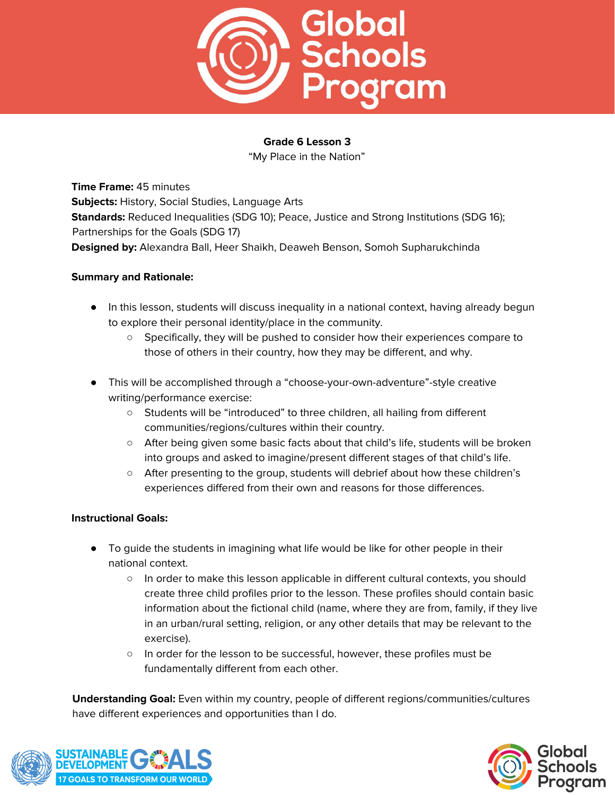

"My Place in the Nation"

**Time Frame:** 45 minutes **Subjects:** History, Social Studies, Language Arts **Standards:** Reduced Inequalities (SDG 10); Peace, Justice and Strong Institutions (SDG 16); Partnerships for the Goals (SDG 17) **Designed by:** Alexandra Ball, Heer Shaikh, Deaweh Benson, Somoh Supharukchinda

#### **Summary and Rationale:**

- In this lesson, students will discuss inequality in a national context, having already begun to explore their personal identity/place in the community.
	- Specifically, they will be pushed to consider how their experiences compare to those of others in their country, how they may be different, and why.
- This will be accomplished through a "choose-your-own-adventure"-style creative writing/performance exercise:
	- Students will be "introduced" to three children, all hailing from different communities/regions/cultures within their country.
	- After being given some basic facts about that child's life, students will be broken into groups and asked to imagine/present different stages of that child's life.
	- After presenting to the group, students will debrief about how these children's experiences differed from their own and reasons for those differences.

#### **Instructional Goals:**

- To guide the students in imagining what life would be like for other people in their national context.
	- In order to make this lesson applicable in different cultural contexts, you should create three child profiles prior to the lesson. These profiles should contain basic information about the fictional child (name, where they are from, family, if they live in an urban/rural setting, religion, or any other details that may be relevant to the exercise).
	- In order for the lesson to be successful, however, these profiles must be fundamentally different from each other.

**Understanding Goal:** Even within my country, people of different regions/communities/cultures have different experiences and opportunities than I do.



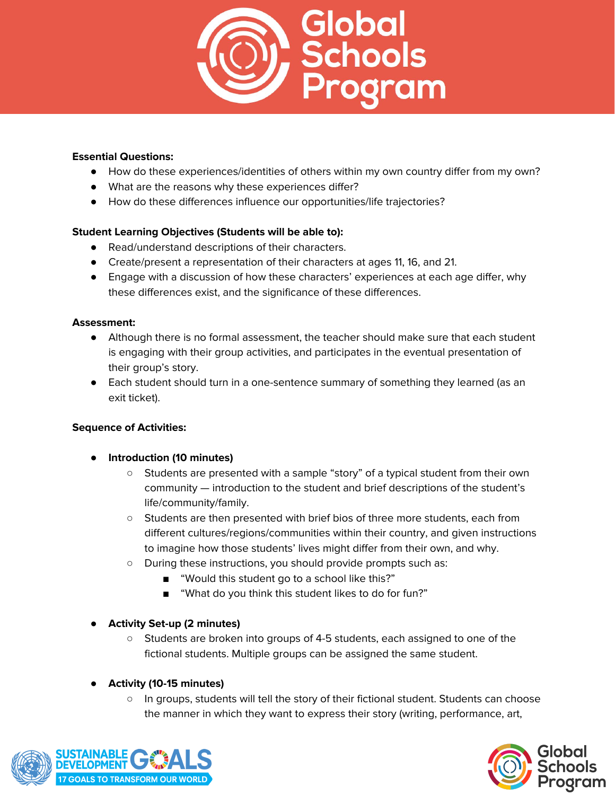

#### **Essential Questions:**

- How do these experiences/identities of others within my own country differ from my own?
- What are the reasons why these experiences differ?
- How do these differences influence our opportunities/life trajectories?

#### **Student Learning Objectives (Students will be able to):**

- Read/understand descriptions of their characters.
- Create/present a representation of their characters at ages 11, 16, and 21.
- Engage with a discussion of how these characters' experiences at each age differ, why these differences exist, and the significance of these differences.

#### **Assessment:**

- Although there is no formal assessment, the teacher should make sure that each student is engaging with their group activities, and participates in the eventual presentation of their group's story.
- Each student should turn in a one-sentence summary of something they learned (as an exit ticket).

#### **Sequence of Activities:**

- **Introduction (10 minutes)**
	- Students are presented with a sample "story" of a typical student from their own community — introduction to the student and brief descriptions of the student's life/community/family.
	- Students are then presented with brief bios of three more students, each from different cultures/regions/communities within their country, and given instructions to imagine how those students' lives might differ from their own, and why.
	- During these instructions, you should provide prompts such as:
		- "Would this student go to a school like this?"
		- "What do you think this student likes to do for fun?"

#### ● **Activity Set-up (2 minutes)**

○ Students are broken into groups of 4-5 students, each assigned to one of the fictional students. Multiple groups can be assigned the same student.

#### ● **Activity (10-15 minutes)**

○ In groups, students will tell the story of their fictional student. Students can choose the manner in which they want to express their story (writing, performance, art,



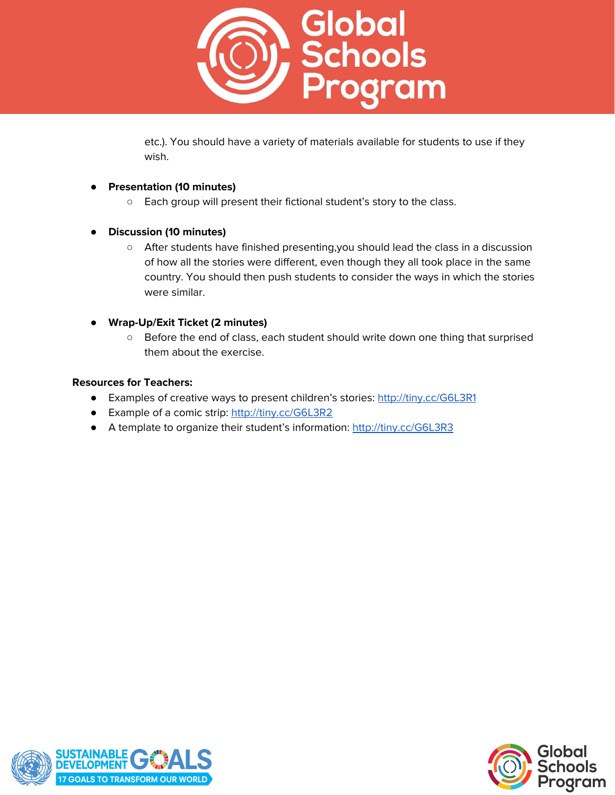

etc.). You should have a variety of materials available for students to use if they wish.

## ● **Presentation (10 minutes)**

- Each group will present their fictional student's story to the class.
- **Discussion (10 minutes)**
	- After students have finished presenting,you should lead the class in a discussion of how all the stories were different, even though they all took place in the same country. You should then push students to consider the ways in which the stories were similar.
- **Wrap-Up/Exit Ticket (2 minutes)**
	- Before the end of class, each student should write down one thing that surprised them about the exercise.

#### **Resources for Teachers:**

- Examples of creative ways to present children's stories: <http://tiny.cc/G6L3R1>
- Example of a comic strip: <http://tiny.cc/G6L3R2>
- A template to organize their student's information: <http://tiny.cc/G6L3R3>



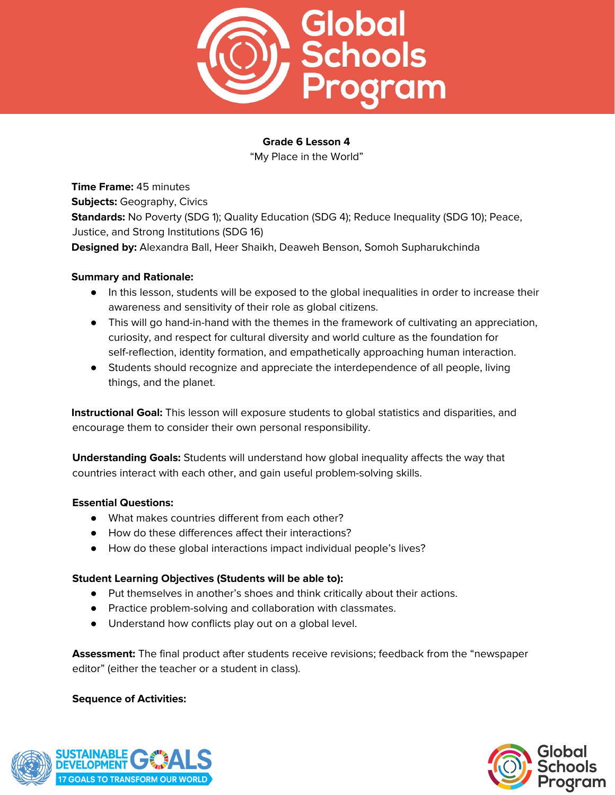

"My Place in the World"

**Time Frame:** 45 minutes **Subjects:** Geography, Civics **Standards:** No Poverty (SDG 1); Quality Education (SDG 4); Reduce Inequality (SDG 10); Peace, Justice, and Strong Institutions (SDG 16) **Designed by:** Alexandra Ball, Heer Shaikh, Deaweh Benson, Somoh Supharukchinda

## **Summary and Rationale:**

- In this lesson, students will be exposed to the global inequalities in order to increase their awareness and sensitivity of their role as global citizens.
- This will go hand-in-hand with the themes in the framework of cultivating an appreciation, curiosity, and respect for cultural diversity and world culture as the foundation for self-reflection, identity formation, and empathetically approaching human interaction.
- Students should recognize and appreciate the interdependence of all people, living things, and the planet.

**Instructional Goal:** This lesson will exposure students to global statistics and disparities, and encourage them to consider their own personal responsibility.

**Understanding Goals:** Students will understand how global inequality affects the way that countries interact with each other, and gain useful problem-solving skills.

#### **Essential Questions:**

- What makes countries different from each other?
- How do these differences affect their interactions?
- How do these global interactions impact individual people's lives?

#### **Student Learning Objectives (Students will be able to):**

- Put themselves in another's shoes and think critically about their actions.
- Practice problem-solving and collaboration with classmates.
- Understand how conflicts play out on a global level.

**Assessment:** The final product after students receive revisions; feedback from the "newspaper editor" (either the teacher or a student in class).

#### **Sequence of Activities:**



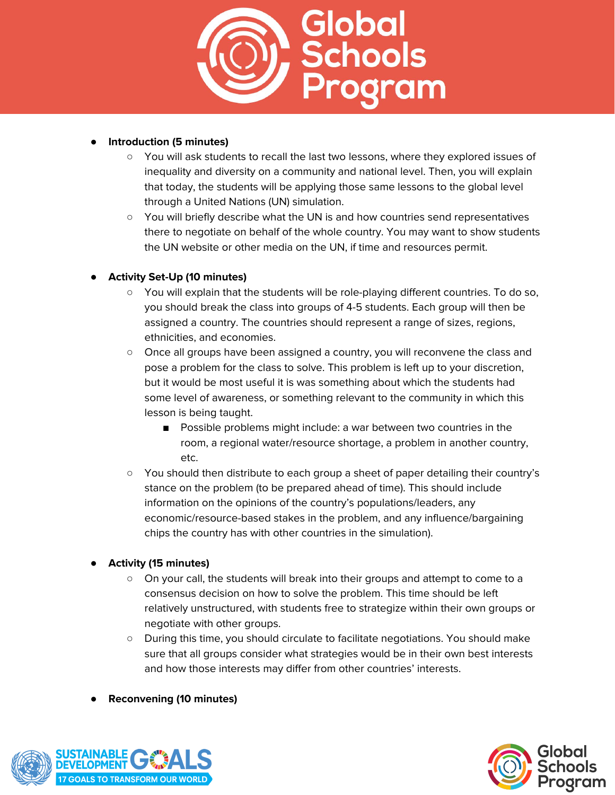

## ● **Introduction (5 minutes)**

- You will ask students to recall the last two lessons, where they explored issues of inequality and diversity on a community and national level. Then, you will explain that today, the students will be applying those same lessons to the global level through a United Nations (UN) simulation.
- You will briefly describe what the UN is and how countries send representatives there to negotiate on behalf of the whole country. You may want to show students the UN website or other media on the UN, if time and resources permit.

# ● **Activity Set-Up (10 minutes)**

- You will explain that the students will be role-playing different countries. To do so, you should break the class into groups of 4-5 students. Each group will then be assigned a country. The countries should represent a range of sizes, regions, ethnicities, and economies.
- Once all groups have been assigned a country, you will reconvene the class and pose a problem for the class to solve. This problem is left up to your discretion, but it would be most useful it is was something about which the students had some level of awareness, or something relevant to the community in which this lesson is being taught.
	- Possible problems might include: a war between two countries in the room, a regional water/resource shortage, a problem in another country, etc.
- You should then distribute to each group a sheet of paper detailing their country's stance on the problem (to be prepared ahead of time). This should include information on the opinions of the country's populations/leaders, any economic/resource-based stakes in the problem, and any influence/bargaining chips the country has with other countries in the simulation).

# ● **Activity (15 minutes)**

- On your call, the students will break into their groups and attempt to come to a consensus decision on how to solve the problem. This time should be left relatively unstructured, with students free to strategize within their own groups or negotiate with other groups.
- During this time, you should circulate to facilitate negotiations. You should make sure that all groups consider what strategies would be in their own best interests and how those interests may differ from other countries' interests.
- **Reconvening (10 minutes)**



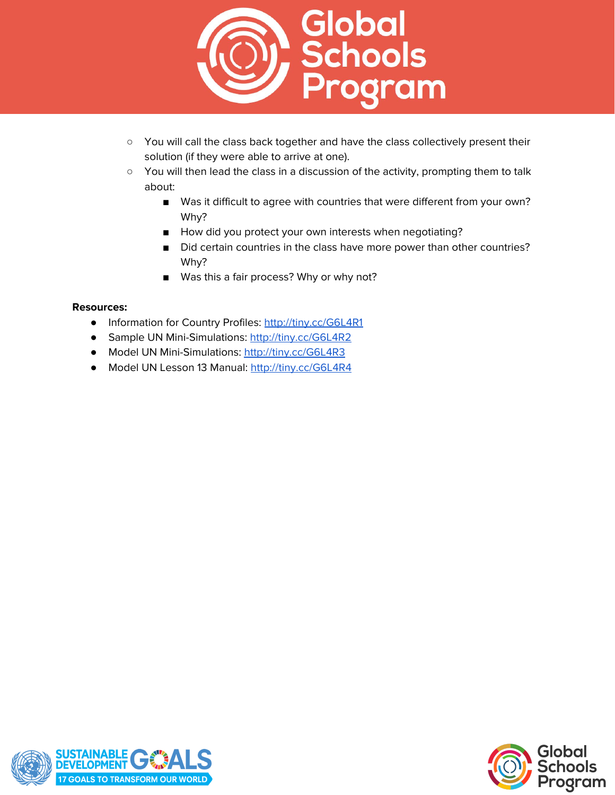

- You will call the class back together and have the class collectively present their solution (if they were able to arrive at one).
- You will then lead the class in a discussion of the activity, prompting them to talk about:
	- Was it difficult to agree with countries that were different from your own? Why?
	- How did you protect your own interests when negotiating?
	- Did certain countries in the class have more power than other countries? Why?
	- Was this a fair process? Why or why not?

## **Resources:**

- Information for Country Profiles: <http://tiny.cc/G6L4R1>
- Sample UN Mini-Simulations: <http://tiny.cc/G6L4R2>
- Model UN Mini-Simulations: <http://tiny.cc/G6L4R3>
- Model UN Lesson 13 Manual: <http://tiny.cc/G6L4R4>



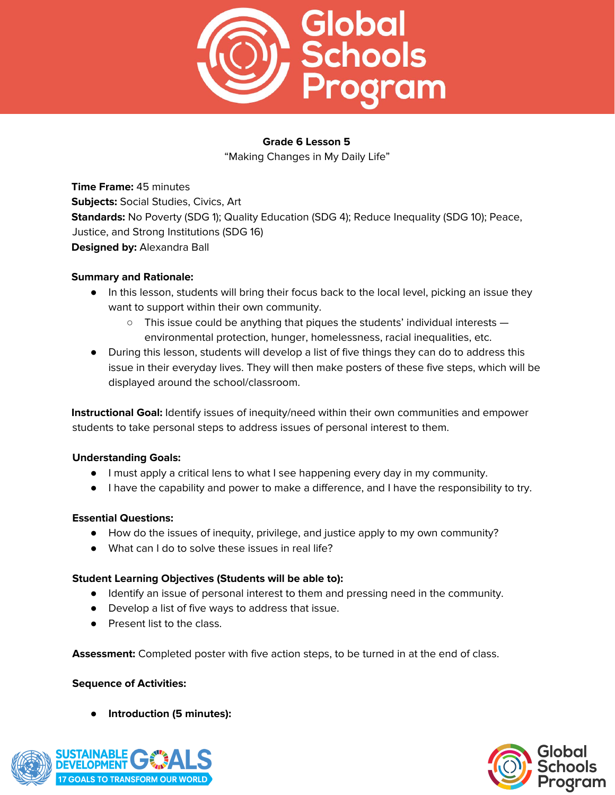

"Making Changes in My Daily Life"

**Time Frame:** 45 minutes **Subjects:** Social Studies, Civics, Art **Standards:** No Poverty (SDG 1); Quality Education (SDG 4); Reduce Inequality (SDG 10); Peace, Justice, and Strong Institutions (SDG 16) **Designed by:** Alexandra Ball

## **Summary and Rationale:**

- In this lesson, students will bring their focus back to the local level, picking an issue they want to support within their own community.
	- $\circ$  This issue could be anything that piques the students' individual interests  $$ environmental protection, hunger, homelessness, racial inequalities, etc.
- During this lesson, students will develop a list of five things they can do to address this issue in their everyday lives. They will then make posters of these five steps, which will be displayed around the school/classroom.

**Instructional Goal:** Identify issues of inequity/need within their own communities and empower students to take personal steps to address issues of personal interest to them.

# **Understanding Goals:**

- I must apply a critical lens to what I see happening every day in my community.
- I have the capability and power to make a difference, and I have the responsibility to try.

#### **Essential Questions:**

- How do the issues of inequity, privilege, and justice apply to my own community?
- What can I do to solve these issues in real life?

#### **Student Learning Objectives (Students will be able to):**

- Identify an issue of personal interest to them and pressing need in the community.
- Develop a list of five ways to address that issue.
- Present list to the class.

**Assessment:** Completed poster with five action steps, to be turned in at the end of class.

#### **Sequence of Activities:**

● **Introduction (5 minutes):**